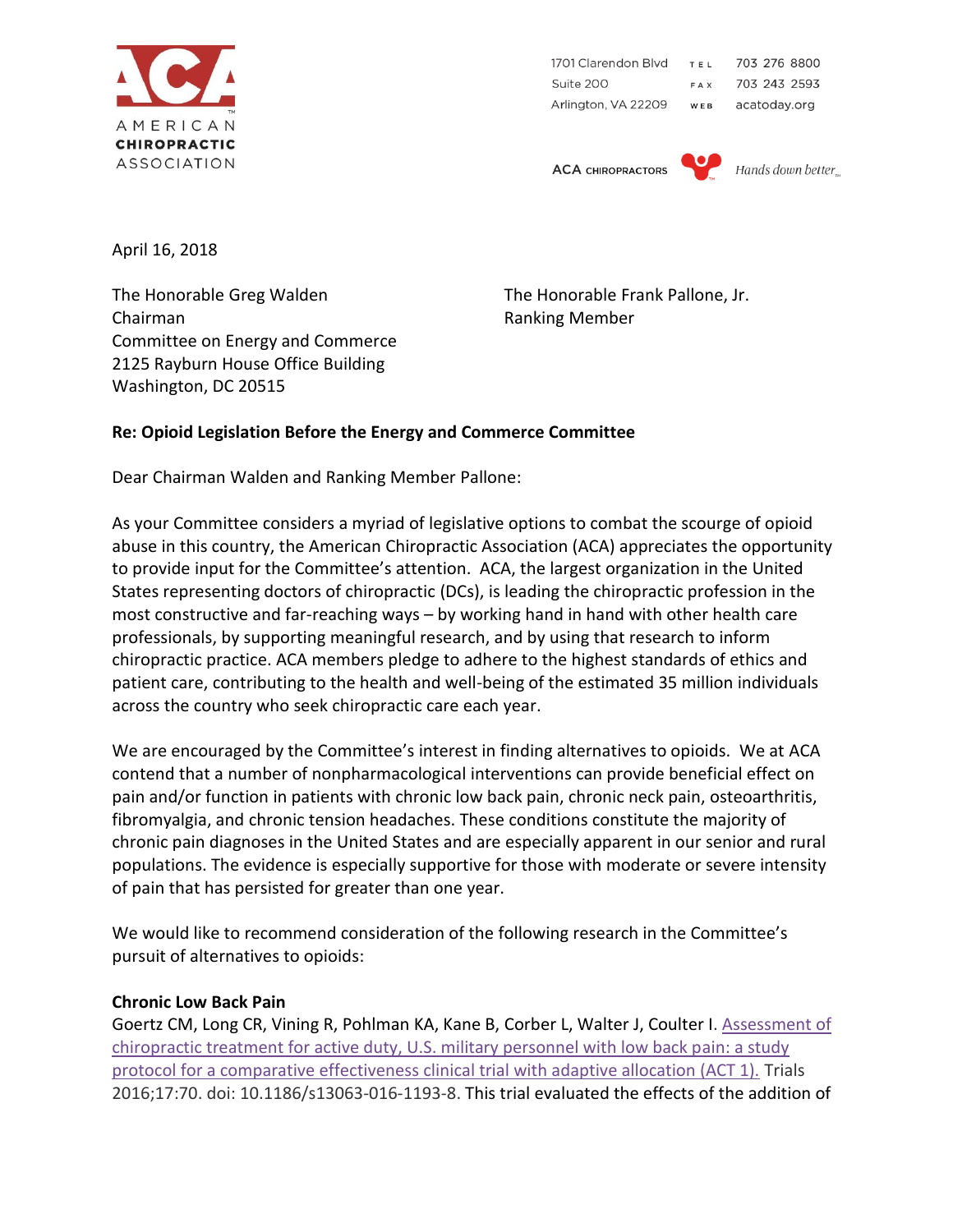

1701 Clarendon Blvd TEL 703 276 8800 Suite 200 FAX 703 243 2593 Arlington, VA 22209 WEB acatoday.org

**ACA CHIROPRACTORS** 



April 16, 2018

The Honorable Greg Walden The Honorable Frank Pallone, Jr. Chairman **Chairman** Ranking Member Committee on Energy and Commerce 2125 Rayburn House Office Building Washington, DC 20515

# **Re: Opioid Legislation Before the Energy and Commerce Committee**

Dear Chairman Walden and Ranking Member Pallone:

As your Committee considers a myriad of legislative options to combat the scourge of opioid abuse in this country, the American Chiropractic Association (ACA) appreciates the opportunity to provide input for the Committee's attention. ACA, the largest organization in the United States representing doctors of chiropractic (DCs), is leading the chiropractic profession in the most constructive and far-reaching ways – by working hand in hand with other health care professionals, by supporting meaningful research, and by using that research to inform chiropractic practice. ACA members pledge to adhere to the highest standards of ethics and patient care, contributing to the health and well-being of the estimated 35 million individuals across the country who seek chiropractic care each year.

We are encouraged by the Committee's interest in finding alternatives to opioids. We at ACA contend that a number of nonpharmacological interventions can provide beneficial effect on pain and/or function in patients with chronic low back pain, chronic neck pain, osteoarthritis, fibromyalgia, and chronic tension headaches. These conditions constitute the majority of chronic pain diagnoses in the United States and are especially apparent in our senior and rural populations. The evidence is especially supportive for those with moderate or severe intensity of pain that has persisted for greater than one year.

We would like to recommend consideration of the following research in the Committee's pursuit of alternatives to opioids:

### **Chronic Low Back Pain**

Goertz CM, Long CR, Vining R, Pohlman KA, Kane B, Corber L, Walter J, Coulter I. [Assessment of](http://www.ncbi.nlm.nih.gov/pubmed/26857706)  [chiropractic treatment for active duty, U.S. military personnel with low back pain: a study](http://www.ncbi.nlm.nih.gov/pubmed/26857706)  [protocol for a comparative effectiveness clinical trial with adaptive allocation \(ACT 1\).](http://www.ncbi.nlm.nih.gov/pubmed/26857706) Trials 2016;17:70. doi: 10.1186/s13063-016-1193-8. This trial evaluated the effects of the addition of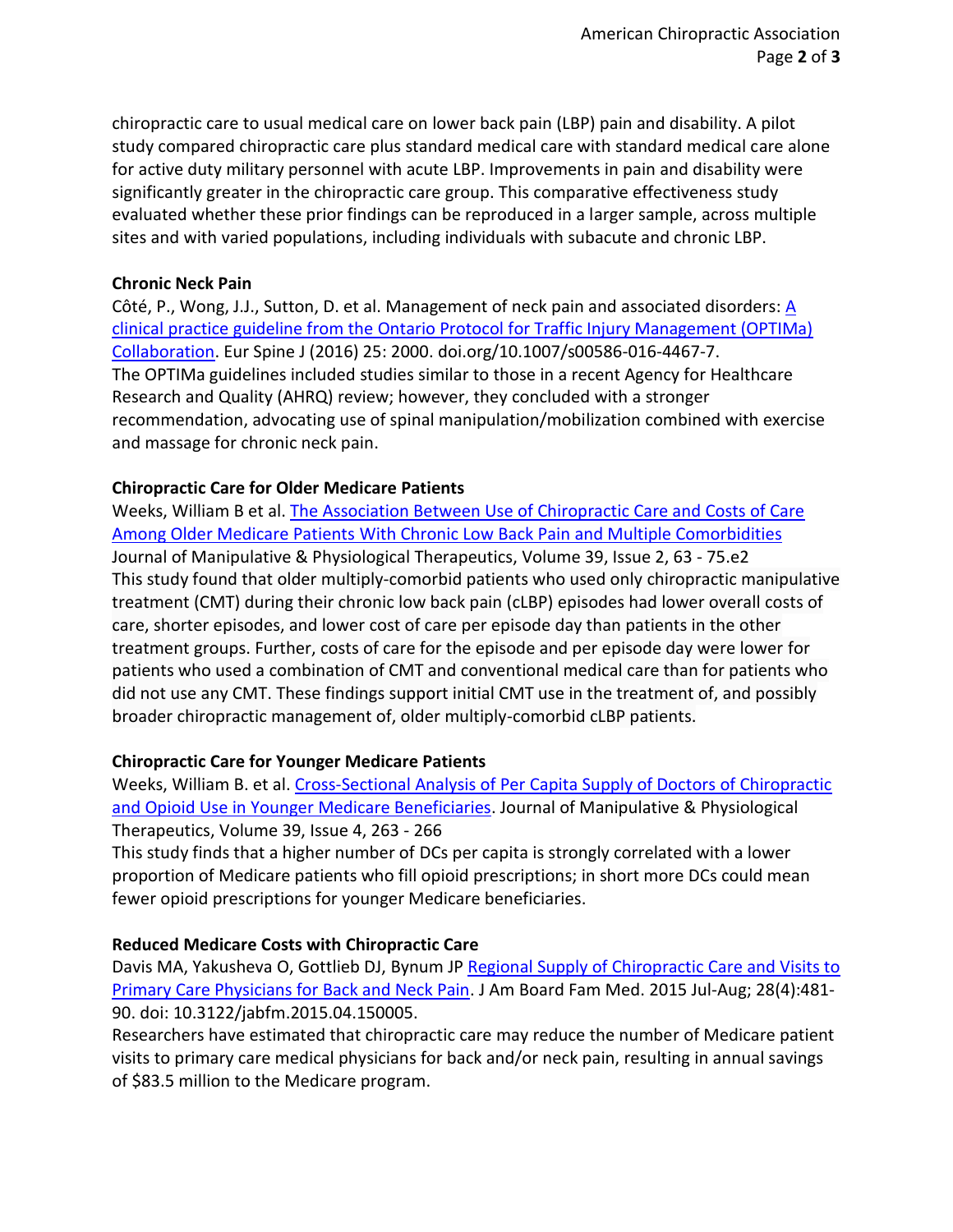chiropractic care to usual medical care on lower back pain (LBP) pain and disability. A pilot study compared chiropractic care plus standard medical care with standard medical care alone for active duty military personnel with acute LBP. Improvements in pain and disability were significantly greater in the chiropractic care group. This comparative effectiveness study evaluated whether these prior findings can be reproduced in a larger sample, across multiple sites and with varied populations, including individuals with subacute and chronic LBP.

## **Chronic Neck Pain**

Côté, P., Wong, J.J., Sutton, D. et al. Management of neck pain and associated disorders:  $\underline{A}$ [clinical practice guideline from the Ontario Protocol for Traffic Injury Management \(OPTIMa\)](https://doi.org/10.1007/s00586-016-4467-7)  [Collaboration.](https://doi.org/10.1007/s00586-016-4467-7) Eur Spine J (2016) 25: 2000. doi.org/10.1007/s00586-016-4467-7. The OPTIMa guidelines included studies similar to those in a recent Agency for Healthcare Research and Quality (AHRQ) review; however, they concluded with a stronger recommendation, advocating use of spinal manipulation/mobilization combined with exercise and massage for chronic neck pain.

## **Chiropractic Care for Older Medicare Patients**

Weeks, William B et al. [The Association Between Use of Chiropractic Care and Costs of Care](http://www.jmptonline.org/article/S0161-4754(16)00007-5/pdf)  [Among Older Medicare Patients With Chronic Low Back Pain and Multiple Comorbidities](http://www.jmptonline.org/article/S0161-4754(16)00007-5/pdf) Journal of Manipulative & Physiological Therapeutics, Volume 39, Issue 2, 63 - 75.e2 This study found that older multiply-comorbid patients who used only chiropractic manipulative treatment (CMT) during their chronic low back pain (cLBP) episodes had lower overall costs of care, shorter episodes, and lower cost of care per episode day than patients in the other treatment groups. Further, costs of care for the episode and per episode day were lower for patients who used a combination of CMT and conventional medical care than for patients who did not use any CMT. These findings support initial CMT use in the treatment of, and possibly broader chiropractic management of, older multiply-comorbid cLBP patients.

# **Chiropractic Care for Younger Medicare Patients**

Weeks, William B. et al. [Cross-Sectional Analysis of Per Capita Supply of Doctors of Chiropractic](http://www.jmptonline.org/article/S0161-4754(16)00063-4/abstract) [and Opioid Use in Younger Medicare Beneficiaries.](http://www.jmptonline.org/article/S0161-4754(16)00063-4/abstract) Journal of Manipulative & Physiological Therapeutics, Volume 39, Issue 4, 263 - 266

This study finds that a higher number of DCs per capita is strongly correlated with a lower proportion of Medicare patients who fill opioid prescriptions; in short more DCs could mean fewer opioid prescriptions for younger Medicare beneficiaries.

# **Reduced Medicare Costs with Chiropractic Care**

Davis MA, Yakusheva O, Gottlieb DJ, Bynum JP Regional Supply of Chiropractic Care and Visits to [Primary Care Physicians for Back and Neck Pain.](https://www.ncbi.nlm.nih.gov/pubmed/26152439) J Am Board Fam Med. 2015 Jul-Aug; 28(4):481- 90. doi: 10.3122/jabfm.2015.04.150005.

Researchers have estimated that chiropractic care may reduce the number of Medicare patient visits to primary care medical physicians for back and/or neck pain, resulting in annual savings of \$83.5 million to the Medicare program.